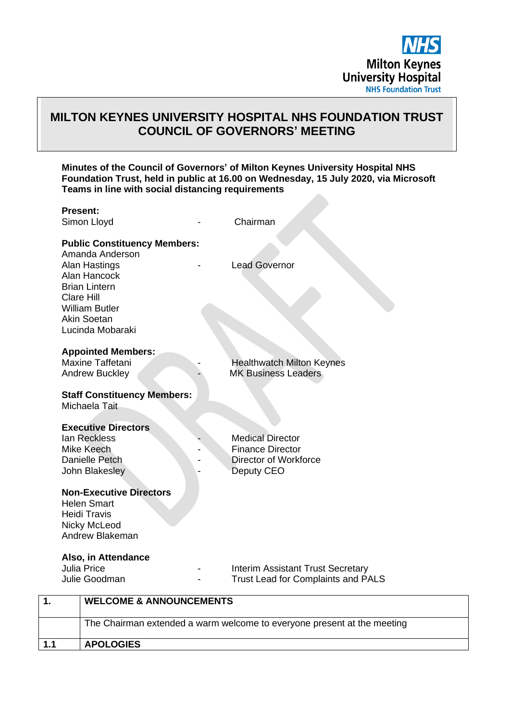

## **MILTON KEYNES UNIVERSITY HOSPITAL NHS FOUNDATION TRUST COUNCIL OF GOVERNORS' MEETING**

## **Minutes of the Council of Governors' of Milton Keynes University Hospital NHS Foundation Trust, held in public at 16.00 on Wednesday, 15 July 2020, via Microsoft Teams in line with social distancing requirements**

|                                                                                                                | <b>Present:</b> | Simon Lloyd                                                                                                                                                                                      |  | Chairman                                                                                  |
|----------------------------------------------------------------------------------------------------------------|-----------------|--------------------------------------------------------------------------------------------------------------------------------------------------------------------------------------------------|--|-------------------------------------------------------------------------------------------|
|                                                                                                                |                 | <b>Public Constituency Members:</b><br>Amanda Anderson<br><b>Alan Hastings</b><br>Alan Hancock<br><b>Brian Lintern</b><br>Clare Hill<br><b>William Butler</b><br>Akin Soetan<br>Lucinda Mobaraki |  | <b>Lead Governor</b>                                                                      |
|                                                                                                                |                 | <b>Appointed Members:</b><br>Maxine Taffetani<br><b>Andrew Buckley</b>                                                                                                                           |  | <b>Healthwatch Milton Keynes</b><br><b>MK Business Leaders</b>                            |
|                                                                                                                |                 | <b>Staff Constituency Members:</b><br>Michaela Tait                                                                                                                                              |  |                                                                                           |
|                                                                                                                |                 | <b>Executive Directors</b><br><b>lan Reckless</b><br>Mike Keech<br><b>Danielle Petch</b><br>John Blakesley                                                                                       |  | <b>Medical Director</b><br><b>Finance Director</b><br>Director of Workforce<br>Deputy CEO |
| <b>Non-Executive Directors</b><br><b>Helen Smart</b><br><b>Heidi Travis</b><br>Nicky McLeod<br>Andrew Blakeman |                 |                                                                                                                                                                                                  |  |                                                                                           |
|                                                                                                                |                 | Also, in Attendance<br><b>Julia Price</b><br>Julie Goodman                                                                                                                                       |  | Interim Assistant Trust Secretary<br>Trust Lead for Complaints and PALS                   |
| 1.                                                                                                             |                 | <b>WELCOME &amp; ANNOUNCEMENTS</b>                                                                                                                                                               |  |                                                                                           |
|                                                                                                                |                 |                                                                                                                                                                                                  |  | The Chairman extended a warm welcome to everyone present at the meeting                   |

**1.1 APOLOGIES**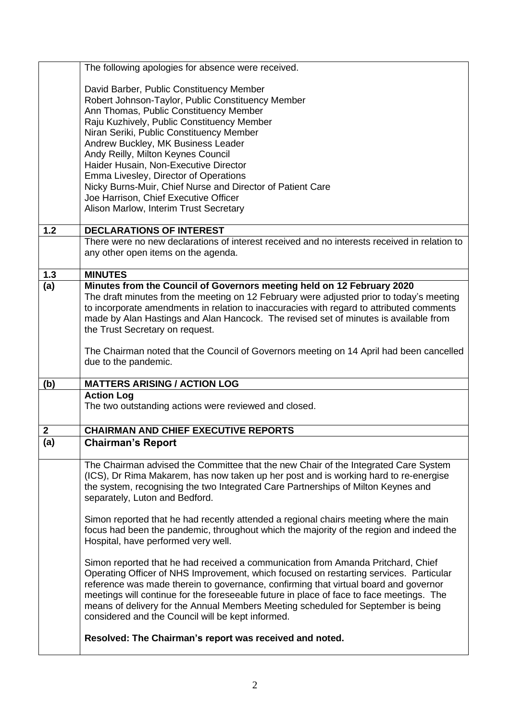|              | The following apologies for absence were received.                                           |  |
|--------------|----------------------------------------------------------------------------------------------|--|
|              |                                                                                              |  |
|              | David Barber, Public Constituency Member                                                     |  |
|              | Robert Johnson-Taylor, Public Constituency Member                                            |  |
|              | Ann Thomas, Public Constituency Member                                                       |  |
|              | Raju Kuzhively, Public Constituency Member                                                   |  |
|              | Niran Seriki, Public Constituency Member                                                     |  |
|              | Andrew Buckley, MK Business Leader                                                           |  |
|              | Andy Reilly, Milton Keynes Council                                                           |  |
|              | Haider Husain, Non-Executive Director                                                        |  |
|              | Emma Livesley, Director of Operations                                                        |  |
|              | Nicky Burns-Muir, Chief Nurse and Director of Patient Care                                   |  |
|              | Joe Harrison, Chief Executive Officer                                                        |  |
|              | Alison Marlow, Interim Trust Secretary                                                       |  |
|              |                                                                                              |  |
| 1.2          | <b>DECLARATIONS OF INTEREST</b>                                                              |  |
|              | There were no new declarations of interest received and no interests received in relation to |  |
|              | any other open items on the agenda.                                                          |  |
| 1.3          | <b>MINUTES</b>                                                                               |  |
| (a)          | Minutes from the Council of Governors meeting held on 12 February 2020                       |  |
|              | The draft minutes from the meeting on 12 February were adjusted prior to today's meeting     |  |
|              | to incorporate amendments in relation to inaccuracies with regard to attributed comments     |  |
|              | made by Alan Hastings and Alan Hancock. The revised set of minutes is available from         |  |
|              | the Trust Secretary on request.                                                              |  |
|              |                                                                                              |  |
|              | The Chairman noted that the Council of Governors meeting on 14 April had been cancelled      |  |
|              | due to the pandemic.                                                                         |  |
|              |                                                                                              |  |
| (b)          | <b>MATTERS ARISING / ACTION LOG</b>                                                          |  |
|              | <b>Action Log</b>                                                                            |  |
|              | The two outstanding actions were reviewed and closed.                                        |  |
|              |                                                                                              |  |
| $\mathbf{2}$ | <b>CHAIRMAN AND CHIEF EXECUTIVE REPORTS</b>                                                  |  |
| (a)          | <b>Chairman's Report</b>                                                                     |  |
|              |                                                                                              |  |
|              | The Chairman advised the Committee that the new Chair of the Integrated Care System          |  |
|              | (ICS), Dr Rima Makarem, has now taken up her post and is working hard to re-energise         |  |
|              | the system, recognising the two Integrated Care Partnerships of Milton Keynes and            |  |
|              | separately, Luton and Bedford.                                                               |  |
|              |                                                                                              |  |
|              | Simon reported that he had recently attended a regional chairs meeting where the main        |  |
|              | focus had been the pandemic, throughout which the majority of the region and indeed the      |  |
|              | Hospital, have performed very well.                                                          |  |
|              |                                                                                              |  |
|              | Simon reported that he had received a communication from Amanda Pritchard, Chief             |  |
|              | Operating Officer of NHS Improvement, which focused on restarting services. Particular       |  |
|              | reference was made therein to governance, confirming that virtual board and governor         |  |
|              | meetings will continue for the foreseeable future in place of face to face meetings. The     |  |
|              | means of delivery for the Annual Members Meeting scheduled for September is being            |  |
|              | considered and the Council will be kept informed.                                            |  |
|              |                                                                                              |  |
|              | Resolved: The Chairman's report was received and noted.                                      |  |
|              |                                                                                              |  |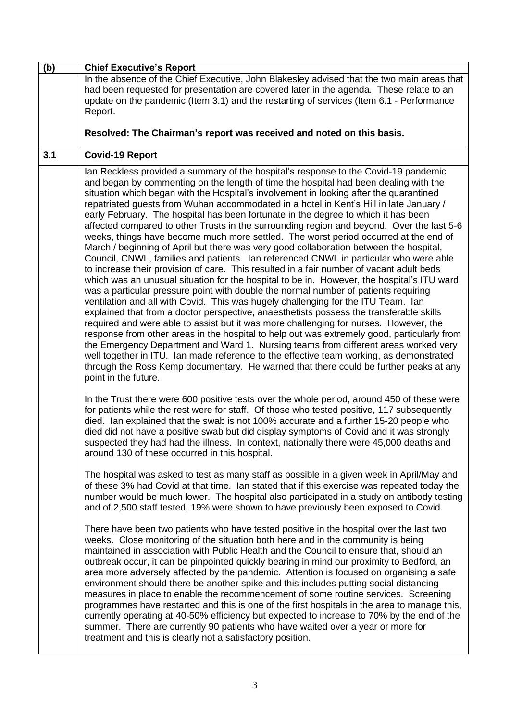| (b) | <b>Chief Executive's Report</b>                                                                                                                                                                                                                                                                                                                                                                                                                                                                                                                                                                                                                                                                                                                                                                                                                                                                                                                                                                                                                                                                                                                                                                                                                                                                                                                                                                                                                                                                                                                                                                                                                                                                                                                                                           |
|-----|-------------------------------------------------------------------------------------------------------------------------------------------------------------------------------------------------------------------------------------------------------------------------------------------------------------------------------------------------------------------------------------------------------------------------------------------------------------------------------------------------------------------------------------------------------------------------------------------------------------------------------------------------------------------------------------------------------------------------------------------------------------------------------------------------------------------------------------------------------------------------------------------------------------------------------------------------------------------------------------------------------------------------------------------------------------------------------------------------------------------------------------------------------------------------------------------------------------------------------------------------------------------------------------------------------------------------------------------------------------------------------------------------------------------------------------------------------------------------------------------------------------------------------------------------------------------------------------------------------------------------------------------------------------------------------------------------------------------------------------------------------------------------------------------|
|     | In the absence of the Chief Executive, John Blakesley advised that the two main areas that<br>had been requested for presentation are covered later in the agenda. These relate to an<br>update on the pandemic (Item 3.1) and the restarting of services (Item 6.1 - Performance<br>Report.                                                                                                                                                                                                                                                                                                                                                                                                                                                                                                                                                                                                                                                                                                                                                                                                                                                                                                                                                                                                                                                                                                                                                                                                                                                                                                                                                                                                                                                                                              |
|     | Resolved: The Chairman's report was received and noted on this basis.                                                                                                                                                                                                                                                                                                                                                                                                                                                                                                                                                                                                                                                                                                                                                                                                                                                                                                                                                                                                                                                                                                                                                                                                                                                                                                                                                                                                                                                                                                                                                                                                                                                                                                                     |
| 3.1 | <b>Covid-19 Report</b>                                                                                                                                                                                                                                                                                                                                                                                                                                                                                                                                                                                                                                                                                                                                                                                                                                                                                                                                                                                                                                                                                                                                                                                                                                                                                                                                                                                                                                                                                                                                                                                                                                                                                                                                                                    |
|     | Ian Reckless provided a summary of the hospital's response to the Covid-19 pandemic<br>and began by commenting on the length of time the hospital had been dealing with the<br>situation which began with the Hospital's involvement in looking after the quarantined<br>repatriated guests from Wuhan accommodated in a hotel in Kent's Hill in late January /<br>early February. The hospital has been fortunate in the degree to which it has been<br>affected compared to other Trusts in the surrounding region and beyond. Over the last 5-6<br>weeks, things have become much more settled. The worst period occurred at the end of<br>March / beginning of April but there was very good collaboration between the hospital,<br>Council, CNWL, families and patients. Ian referenced CNWL in particular who were able<br>to increase their provision of care. This resulted in a fair number of vacant adult beds<br>which was an unusual situation for the hospital to be in. However, the hospital's ITU ward<br>was a particular pressure point with double the normal number of patients requiring<br>ventilation and all with Covid. This was hugely challenging for the ITU Team. Ian<br>explained that from a doctor perspective, anaesthetists possess the transferable skills<br>required and were able to assist but it was more challenging for nurses. However, the<br>response from other areas in the hospital to help out was extremely good, particularly from<br>the Emergency Department and Ward 1. Nursing teams from different areas worked very<br>well together in ITU. Ian made reference to the effective team working, as demonstrated<br>through the Ross Kemp documentary. He warned that there could be further peaks at any<br>point in the future. |
|     | In the Trust there were 600 positive tests over the whole period, around 450 of these were<br>for patients while the rest were for staff. Of those who tested positive, 117 subsequently<br>died. Ian explained that the swab is not 100% accurate and a further 15-20 people who<br>died did not have a positive swab but did display symptoms of Covid and it was strongly<br>suspected they had had the illness. In context, nationally there were 45,000 deaths and<br>around 130 of these occurred in this hospital.                                                                                                                                                                                                                                                                                                                                                                                                                                                                                                                                                                                                                                                                                                                                                                                                                                                                                                                                                                                                                                                                                                                                                                                                                                                                 |
|     | The hospital was asked to test as many staff as possible in a given week in April/May and<br>of these 3% had Covid at that time. Ian stated that if this exercise was repeated today the<br>number would be much lower. The hospital also participated in a study on antibody testing<br>and of 2,500 staff tested, 19% were shown to have previously been exposed to Covid.                                                                                                                                                                                                                                                                                                                                                                                                                                                                                                                                                                                                                                                                                                                                                                                                                                                                                                                                                                                                                                                                                                                                                                                                                                                                                                                                                                                                              |
|     | There have been two patients who have tested positive in the hospital over the last two<br>weeks. Close monitoring of the situation both here and in the community is being<br>maintained in association with Public Health and the Council to ensure that, should an<br>outbreak occur, it can be pinpointed quickly bearing in mind our proximity to Bedford, an<br>area more adversely affected by the pandemic. Attention is focused on organising a safe<br>environment should there be another spike and this includes putting social distancing<br>measures in place to enable the recommencement of some routine services. Screening<br>programmes have restarted and this is one of the first hospitals in the area to manage this,<br>currently operating at 40-50% efficiency but expected to increase to 70% by the end of the<br>summer. There are currently 90 patients who have waited over a year or more for<br>treatment and this is clearly not a satisfactory position.                                                                                                                                                                                                                                                                                                                                                                                                                                                                                                                                                                                                                                                                                                                                                                                               |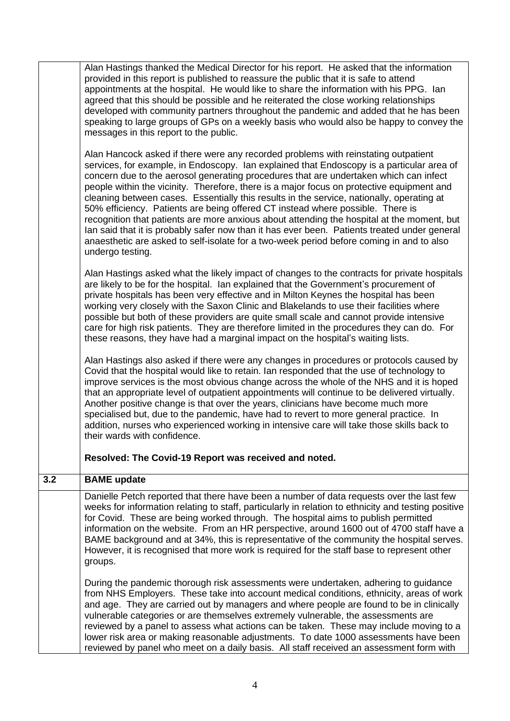|     | provided in this report is published to reassure the public that it is safe to attend<br>appointments at the hospital. He would like to share the information with his PPG. Ian<br>agreed that this should be possible and he reiterated the close working relationships<br>developed with community partners throughout the pandemic and added that he has been<br>speaking to large groups of GPs on a weekly basis who would also be happy to convey the<br>messages in this report to the public.<br>Alan Hancock asked if there were any recorded problems with reinstating outpatient<br>services, for example, in Endoscopy. Ian explained that Endoscopy is a particular area of<br>concern due to the aerosol generating procedures that are undertaken which can infect<br>people within the vicinity. Therefore, there is a major focus on protective equipment and<br>cleaning between cases. Essentially this results in the service, nationally, operating at<br>50% efficiency. Patients are being offered CT instead where possible. There is<br>recognition that patients are more anxious about attending the hospital at the moment, but |
|-----|-------------------------------------------------------------------------------------------------------------------------------------------------------------------------------------------------------------------------------------------------------------------------------------------------------------------------------------------------------------------------------------------------------------------------------------------------------------------------------------------------------------------------------------------------------------------------------------------------------------------------------------------------------------------------------------------------------------------------------------------------------------------------------------------------------------------------------------------------------------------------------------------------------------------------------------------------------------------------------------------------------------------------------------------------------------------------------------------------------------------------------------------------------------|
|     | lan said that it is probably safer now than it has ever been. Patients treated under general<br>anaesthetic are asked to self-isolate for a two-week period before coming in and to also<br>undergo testing.                                                                                                                                                                                                                                                                                                                                                                                                                                                                                                                                                                                                                                                                                                                                                                                                                                                                                                                                                |
|     | Alan Hastings asked what the likely impact of changes to the contracts for private hospitals<br>are likely to be for the hospital. Ian explained that the Government's procurement of<br>private hospitals has been very effective and in Milton Keynes the hospital has been<br>working very closely with the Saxon Clinic and Blakelands to use their facilities where<br>possible but both of these providers are quite small scale and cannot provide intensive<br>care for high risk patients. They are therefore limited in the procedures they can do. For<br>these reasons, they have had a marginal impact on the hospital's waiting lists.                                                                                                                                                                                                                                                                                                                                                                                                                                                                                                        |
|     | Alan Hastings also asked if there were any changes in procedures or protocols caused by<br>Covid that the hospital would like to retain. Ian responded that the use of technology to<br>improve services is the most obvious change across the whole of the NHS and it is hoped<br>that an appropriate level of outpatient appointments will continue to be delivered virtually.<br>Another positive change is that over the years, clinicians have become much more<br>specialised but, due to the pandemic, have had to revert to more general practice. In<br>addition, nurses who experienced working in intensive care will take those skills back to<br>their wards with confidence.                                                                                                                                                                                                                                                                                                                                                                                                                                                                  |
|     | Resolved: The Covid-19 Report was received and noted.                                                                                                                                                                                                                                                                                                                                                                                                                                                                                                                                                                                                                                                                                                                                                                                                                                                                                                                                                                                                                                                                                                       |
| 3.2 | <b>BAME</b> update                                                                                                                                                                                                                                                                                                                                                                                                                                                                                                                                                                                                                                                                                                                                                                                                                                                                                                                                                                                                                                                                                                                                          |
|     | Danielle Petch reported that there have been a number of data requests over the last few<br>weeks for information relating to staff, particularly in relation to ethnicity and testing positive<br>for Covid. These are being worked through. The hospital aims to publish permitted<br>information on the website. From an HR perspective, around 1600 out of 4700 staff have a<br>BAME background and at 34%, this is representative of the community the hospital serves.<br>However, it is recognised that more work is required for the staff base to represent other<br>groups.                                                                                                                                                                                                                                                                                                                                                                                                                                                                                                                                                                       |
|     | During the pandemic thorough risk assessments were undertaken, adhering to guidance<br>from NHS Employers. These take into account medical conditions, ethnicity, areas of work<br>and age. They are carried out by managers and where people are found to be in clinically<br>vulnerable categories or are themselves extremely vulnerable, the assessments are<br>reviewed by a panel to assess what actions can be taken. These may include moving to a<br>lower risk area or making reasonable adjustments. To date 1000 assessments have been<br>reviewed by panel who meet on a daily basis. All staff received an assessment form with                                                                                                                                                                                                                                                                                                                                                                                                                                                                                                               |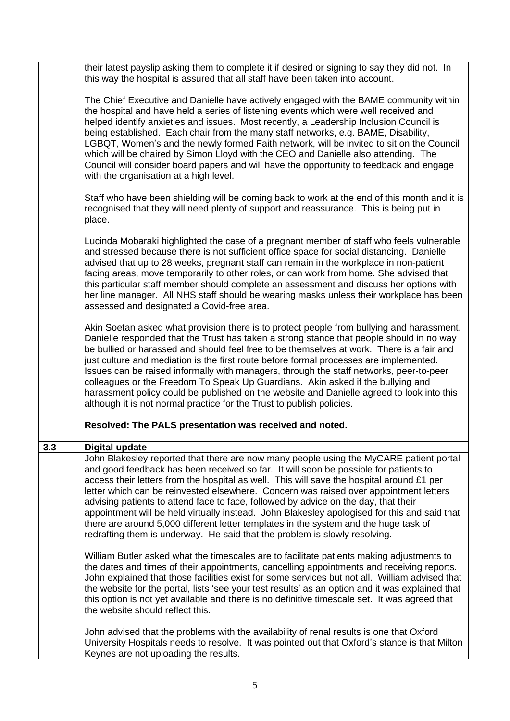|     | their latest payslip asking them to complete it if desired or signing to say they did not. In<br>this way the hospital is assured that all staff have been taken into account.                                                                                                                                                                                                                                                                                                                                                                                                                                                                                                                                                    |
|-----|-----------------------------------------------------------------------------------------------------------------------------------------------------------------------------------------------------------------------------------------------------------------------------------------------------------------------------------------------------------------------------------------------------------------------------------------------------------------------------------------------------------------------------------------------------------------------------------------------------------------------------------------------------------------------------------------------------------------------------------|
|     | The Chief Executive and Danielle have actively engaged with the BAME community within<br>the hospital and have held a series of listening events which were well received and<br>helped identify anxieties and issues. Most recently, a Leadership Inclusion Council is<br>being established. Each chair from the many staff networks, e.g. BAME, Disability,<br>LGBQT, Women's and the newly formed Faith network, will be invited to sit on the Council<br>which will be chaired by Simon Lloyd with the CEO and Danielle also attending. The<br>Council will consider board papers and will have the opportunity to feedback and engage<br>with the organisation at a high level.                                              |
|     | Staff who have been shielding will be coming back to work at the end of this month and it is<br>recognised that they will need plenty of support and reassurance. This is being put in<br>place.                                                                                                                                                                                                                                                                                                                                                                                                                                                                                                                                  |
|     | Lucinda Mobaraki highlighted the case of a pregnant member of staff who feels vulnerable<br>and stressed because there is not sufficient office space for social distancing. Danielle<br>advised that up to 28 weeks, pregnant staff can remain in the workplace in non-patient<br>facing areas, move temporarily to other roles, or can work from home. She advised that<br>this particular staff member should complete an assessment and discuss her options with<br>her line manager. All NHS staff should be wearing masks unless their workplace has been<br>assessed and designated a Covid-free area.                                                                                                                     |
|     | Akin Soetan asked what provision there is to protect people from bullying and harassment.<br>Danielle responded that the Trust has taken a strong stance that people should in no way<br>be bullied or harassed and should feel free to be themselves at work. There is a fair and<br>just culture and mediation is the first route before formal processes are implemented.<br>Issues can be raised informally with managers, through the staff networks, peer-to-peer<br>colleagues or the Freedom To Speak Up Guardians. Akin asked if the bullying and<br>harassment policy could be published on the website and Danielle agreed to look into this<br>although it is not normal practice for the Trust to publish policies.  |
|     | Resolved: The PALS presentation was received and noted.                                                                                                                                                                                                                                                                                                                                                                                                                                                                                                                                                                                                                                                                           |
| 3.3 | <b>Digital update</b>                                                                                                                                                                                                                                                                                                                                                                                                                                                                                                                                                                                                                                                                                                             |
|     | John Blakesley reported that there are now many people using the MyCARE patient portal<br>and good feedback has been received so far. It will soon be possible for patients to<br>access their letters from the hospital as well. This will save the hospital around £1 per<br>letter which can be reinvested elsewhere. Concern was raised over appointment letters<br>advising patients to attend face to face, followed by advice on the day, that their<br>appointment will be held virtually instead. John Blakesley apologised for this and said that<br>there are around 5,000 different letter templates in the system and the huge task of<br>redrafting them is underway. He said that the problem is slowly resolving. |
|     | William Butler asked what the timescales are to facilitate patients making adjustments to<br>the dates and times of their appointments, cancelling appointments and receiving reports.<br>John explained that those facilities exist for some services but not all. William advised that<br>the website for the portal, lists 'see your test results' as an option and it was explained that<br>this option is not yet available and there is no definitive timescale set. It was agreed that<br>the website should reflect this.                                                                                                                                                                                                 |
|     | John advised that the problems with the availability of renal results is one that Oxford<br>University Hospitals needs to resolve. It was pointed out that Oxford's stance is that Milton<br>Keynes are not uploading the results.                                                                                                                                                                                                                                                                                                                                                                                                                                                                                                |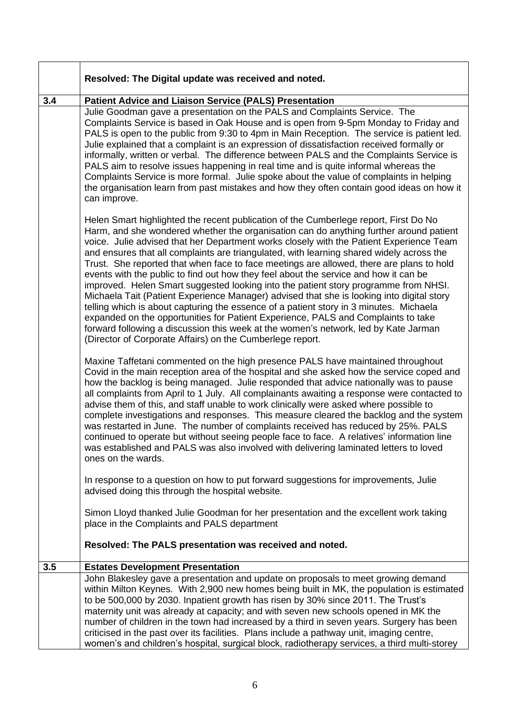|     | Resolved: The Digital update was received and noted.                                                                                                                                                                                                                                                                                                                                                                                                                                                                                                                                                                                                                                                                                                                                                                                                                                                                                                                                                                                                                             |
|-----|----------------------------------------------------------------------------------------------------------------------------------------------------------------------------------------------------------------------------------------------------------------------------------------------------------------------------------------------------------------------------------------------------------------------------------------------------------------------------------------------------------------------------------------------------------------------------------------------------------------------------------------------------------------------------------------------------------------------------------------------------------------------------------------------------------------------------------------------------------------------------------------------------------------------------------------------------------------------------------------------------------------------------------------------------------------------------------|
| 3.4 | <b>Patient Advice and Liaison Service (PALS) Presentation</b>                                                                                                                                                                                                                                                                                                                                                                                                                                                                                                                                                                                                                                                                                                                                                                                                                                                                                                                                                                                                                    |
|     | Julie Goodman gave a presentation on the PALS and Complaints Service. The<br>Complaints Service is based in Oak House and is open from 9-5pm Monday to Friday and<br>PALS is open to the public from 9:30 to 4pm in Main Reception. The service is patient led.<br>Julie explained that a complaint is an expression of dissatisfaction received formally or<br>informally, written or verbal. The difference between PALS and the Complaints Service is<br>PALS aim to resolve issues happening in real time and is quite informal whereas the<br>Complaints Service is more formal. Julie spoke about the value of complaints in helping<br>the organisation learn from past mistakes and how they often contain good ideas on how it<br>can improve.                                                                                                                                                                                                                                                                                                                          |
|     | Helen Smart highlighted the recent publication of the Cumberlege report, First Do No<br>Harm, and she wondered whether the organisation can do anything further around patient<br>voice. Julie advised that her Department works closely with the Patient Experience Team<br>and ensures that all complaints are triangulated, with learning shared widely across the<br>Trust. She reported that when face to face meetings are allowed, there are plans to hold<br>events with the public to find out how they feel about the service and how it can be<br>improved. Helen Smart suggested looking into the patient story programme from NHSI.<br>Michaela Tait (Patient Experience Manager) advised that she is looking into digital story<br>telling which is about capturing the essence of a patient story in 3 minutes. Michaela<br>expanded on the opportunities for Patient Experience, PALS and Complaints to take<br>forward following a discussion this week at the women's network, led by Kate Jarman<br>(Director of Corporate Affairs) on the Cumberlege report. |
|     | Maxine Taffetani commented on the high presence PALS have maintained throughout<br>Covid in the main reception area of the hospital and she asked how the service coped and<br>how the backlog is being managed. Julie responded that advice nationally was to pause<br>all complaints from April to 1 July. All complainants awaiting a response were contacted to<br>advise them of this, and staff unable to work clinically were asked where possible to<br>complete investigations and responses. This measure cleared the backlog and the system<br>was restarted in June. The number of complaints received has reduced by 25%. PALS<br>continued to operate but without seeing people face to face. A relatives' information line<br>was established and PALS was also involved with delivering laminated letters to loved<br>ones on the wards.                                                                                                                                                                                                                         |
|     | In response to a question on how to put forward suggestions for improvements, Julie<br>advised doing this through the hospital website.                                                                                                                                                                                                                                                                                                                                                                                                                                                                                                                                                                                                                                                                                                                                                                                                                                                                                                                                          |
|     | Simon Lloyd thanked Julie Goodman for her presentation and the excellent work taking<br>place in the Complaints and PALS department                                                                                                                                                                                                                                                                                                                                                                                                                                                                                                                                                                                                                                                                                                                                                                                                                                                                                                                                              |
|     | Resolved: The PALS presentation was received and noted.                                                                                                                                                                                                                                                                                                                                                                                                                                                                                                                                                                                                                                                                                                                                                                                                                                                                                                                                                                                                                          |
| 3.5 | <b>Estates Development Presentation</b>                                                                                                                                                                                                                                                                                                                                                                                                                                                                                                                                                                                                                                                                                                                                                                                                                                                                                                                                                                                                                                          |
|     | John Blakesley gave a presentation and update on proposals to meet growing demand<br>within Milton Keynes. With 2,900 new homes being built in MK, the population is estimated<br>to be 500,000 by 2030. Inpatient growth has risen by 30% since 2011. The Trust's<br>maternity unit was already at capacity; and with seven new schools opened in MK the<br>number of children in the town had increased by a third in seven years. Surgery has been<br>criticised in the past over its facilities. Plans include a pathway unit, imaging centre,<br>women's and children's hospital, surgical block, radiotherapy services, a third multi-storey                                                                                                                                                                                                                                                                                                                                                                                                                               |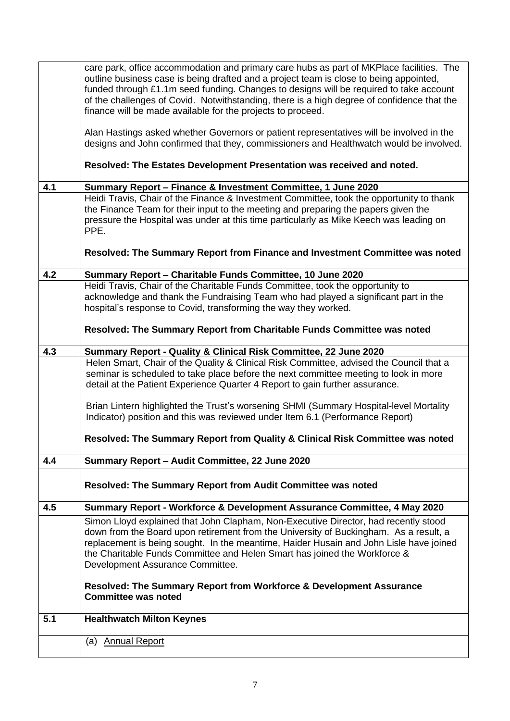|     | care park, office accommodation and primary care hubs as part of MKPlace facilities. The<br>outline business case is being drafted and a project team is close to being appointed,<br>funded through £1.1m seed funding. Changes to designs will be required to take account<br>of the challenges of Covid. Notwithstanding, there is a high degree of confidence that the |  |  |
|-----|----------------------------------------------------------------------------------------------------------------------------------------------------------------------------------------------------------------------------------------------------------------------------------------------------------------------------------------------------------------------------|--|--|
|     | finance will be made available for the projects to proceed.                                                                                                                                                                                                                                                                                                                |  |  |
|     | Alan Hastings asked whether Governors or patient representatives will be involved in the                                                                                                                                                                                                                                                                                   |  |  |
|     | designs and John confirmed that they, commissioners and Healthwatch would be involved.                                                                                                                                                                                                                                                                                     |  |  |
|     | Resolved: The Estates Development Presentation was received and noted.                                                                                                                                                                                                                                                                                                     |  |  |
| 4.1 | Summary Report - Finance & Investment Committee, 1 June 2020                                                                                                                                                                                                                                                                                                               |  |  |
|     | Heidi Travis, Chair of the Finance & Investment Committee, took the opportunity to thank                                                                                                                                                                                                                                                                                   |  |  |
|     | the Finance Team for their input to the meeting and preparing the papers given the                                                                                                                                                                                                                                                                                         |  |  |
|     | pressure the Hospital was under at this time particularly as Mike Keech was leading on<br>PPE.                                                                                                                                                                                                                                                                             |  |  |
|     | Resolved: The Summary Report from Finance and Investment Committee was noted                                                                                                                                                                                                                                                                                               |  |  |
| 4.2 | Summary Report - Charitable Funds Committee, 10 June 2020                                                                                                                                                                                                                                                                                                                  |  |  |
|     | Heidi Travis, Chair of the Charitable Funds Committee, took the opportunity to                                                                                                                                                                                                                                                                                             |  |  |
|     | acknowledge and thank the Fundraising Team who had played a significant part in the                                                                                                                                                                                                                                                                                        |  |  |
|     | hospital's response to Covid, transforming the way they worked.                                                                                                                                                                                                                                                                                                            |  |  |
|     | Resolved: The Summary Report from Charitable Funds Committee was noted                                                                                                                                                                                                                                                                                                     |  |  |
| 4.3 | Summary Report - Quality & Clinical Risk Committee, 22 June 2020                                                                                                                                                                                                                                                                                                           |  |  |
|     | Helen Smart, Chair of the Quality & Clinical Risk Committee, advised the Council that a<br>seminar is scheduled to take place before the next committee meeting to look in more<br>detail at the Patient Experience Quarter 4 Report to gain further assurance.                                                                                                            |  |  |
|     | Brian Lintern highlighted the Trust's worsening SHMI (Summary Hospital-level Mortality<br>Indicator) position and this was reviewed under Item 6.1 (Performance Report)                                                                                                                                                                                                    |  |  |
|     | Resolved: The Summary Report from Quality & Clinical Risk Committee was noted                                                                                                                                                                                                                                                                                              |  |  |
| 4.4 | Summary Report - Audit Committee, 22 June 2020                                                                                                                                                                                                                                                                                                                             |  |  |
|     | Resolved: The Summary Report from Audit Committee was noted                                                                                                                                                                                                                                                                                                                |  |  |
| 4.5 | Summary Report - Workforce & Development Assurance Committee, 4 May 2020                                                                                                                                                                                                                                                                                                   |  |  |
|     | Simon Lloyd explained that John Clapham, Non-Executive Director, had recently stood<br>down from the Board upon retirement from the University of Buckingham. As a result, a                                                                                                                                                                                               |  |  |
|     | replacement is being sought. In the meantime, Haider Husain and John Lisle have joined<br>the Charitable Funds Committee and Helen Smart has joined the Workforce &                                                                                                                                                                                                        |  |  |
|     | Development Assurance Committee.                                                                                                                                                                                                                                                                                                                                           |  |  |
|     | Resolved: The Summary Report from Workforce & Development Assurance<br><b>Committee was noted</b>                                                                                                                                                                                                                                                                          |  |  |
| 5.1 | <b>Healthwatch Milton Keynes</b>                                                                                                                                                                                                                                                                                                                                           |  |  |
|     | (a) Annual Report                                                                                                                                                                                                                                                                                                                                                          |  |  |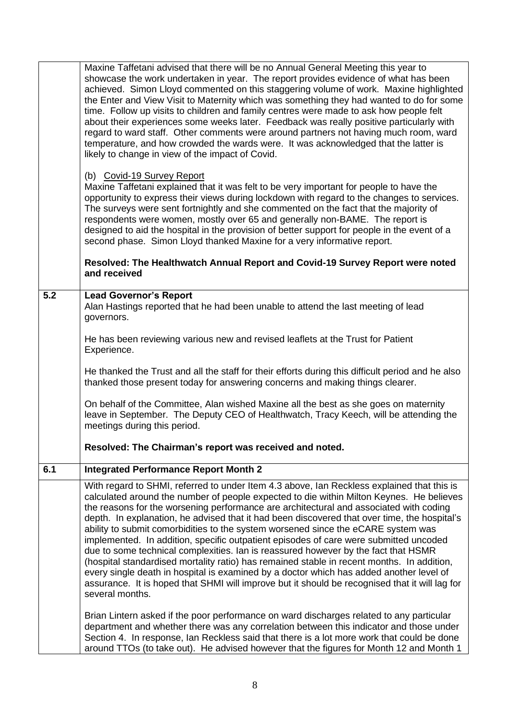|     | Maxine Taffetani advised that there will be no Annual General Meeting this year to<br>showcase the work undertaken in year. The report provides evidence of what has been<br>achieved. Simon Lloyd commented on this staggering volume of work. Maxine highlighted<br>the Enter and View Visit to Maternity which was something they had wanted to do for some<br>time. Follow up visits to children and family centres were made to ask how people felt<br>about their experiences some weeks later. Feedback was really positive particularly with<br>regard to ward staff. Other comments were around partners not having much room, ward<br>temperature, and how crowded the wards were. It was acknowledged that the latter is<br>likely to change in view of the impact of Covid.                                                                                                                                                                            |
|-----|--------------------------------------------------------------------------------------------------------------------------------------------------------------------------------------------------------------------------------------------------------------------------------------------------------------------------------------------------------------------------------------------------------------------------------------------------------------------------------------------------------------------------------------------------------------------------------------------------------------------------------------------------------------------------------------------------------------------------------------------------------------------------------------------------------------------------------------------------------------------------------------------------------------------------------------------------------------------|
|     | (b) Covid-19 Survey Report<br>Maxine Taffetani explained that it was felt to be very important for people to have the<br>opportunity to express their views during lockdown with regard to the changes to services.<br>The surveys were sent fortnightly and she commented on the fact that the majority of<br>respondents were women, mostly over 65 and generally non-BAME. The report is<br>designed to aid the hospital in the provision of better support for people in the event of a<br>second phase. Simon Lloyd thanked Maxine for a very informative report.                                                                                                                                                                                                                                                                                                                                                                                             |
|     | Resolved: The Healthwatch Annual Report and Covid-19 Survey Report were noted<br>and received                                                                                                                                                                                                                                                                                                                                                                                                                                                                                                                                                                                                                                                                                                                                                                                                                                                                      |
| 5.2 | <b>Lead Governor's Report</b><br>Alan Hastings reported that he had been unable to attend the last meeting of lead<br>governors.                                                                                                                                                                                                                                                                                                                                                                                                                                                                                                                                                                                                                                                                                                                                                                                                                                   |
|     | He has been reviewing various new and revised leaflets at the Trust for Patient<br>Experience.                                                                                                                                                                                                                                                                                                                                                                                                                                                                                                                                                                                                                                                                                                                                                                                                                                                                     |
|     | He thanked the Trust and all the staff for their efforts during this difficult period and he also<br>thanked those present today for answering concerns and making things clearer.                                                                                                                                                                                                                                                                                                                                                                                                                                                                                                                                                                                                                                                                                                                                                                                 |
|     | On behalf of the Committee, Alan wished Maxine all the best as she goes on maternity<br>leave in September. The Deputy CEO of Healthwatch, Tracy Keech, will be attending the<br>meetings during this period.                                                                                                                                                                                                                                                                                                                                                                                                                                                                                                                                                                                                                                                                                                                                                      |
|     | Resolved: The Chairman's report was received and noted.                                                                                                                                                                                                                                                                                                                                                                                                                                                                                                                                                                                                                                                                                                                                                                                                                                                                                                            |
| 6.1 | <b>Integrated Performance Report Month 2</b>                                                                                                                                                                                                                                                                                                                                                                                                                                                                                                                                                                                                                                                                                                                                                                                                                                                                                                                       |
|     | With regard to SHMI, referred to under Item 4.3 above, Ian Reckless explained that this is<br>calculated around the number of people expected to die within Milton Keynes. He believes<br>the reasons for the worsening performance are architectural and associated with coding<br>depth. In explanation, he advised that it had been discovered that over time, the hospital's<br>ability to submit comorbidities to the system worsened since the eCARE system was<br>implemented. In addition, specific outpatient episodes of care were submitted uncoded<br>due to some technical complexities. Ian is reassured however by the fact that HSMR<br>(hospital standardised mortality ratio) has remained stable in recent months. In addition,<br>every single death in hospital is examined by a doctor which has added another level of<br>assurance. It is hoped that SHMI will improve but it should be recognised that it will lag for<br>several months. |
|     | Brian Lintern asked if the poor performance on ward discharges related to any particular<br>department and whether there was any correlation between this indicator and those under<br>Section 4. In response, Ian Reckless said that there is a lot more work that could be done<br>around TTOs (to take out). He advised however that the figures for Month 12 and Month 1                                                                                                                                                                                                                                                                                                                                                                                                                                                                                                                                                                                       |